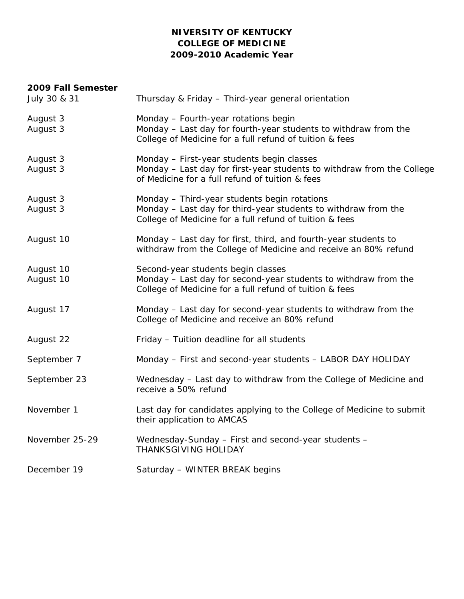# **NIVERSITY OF KENTUCKY COLLEGE OF MEDICINE 2009-2010 Academic Year**

#### **2009 Fall Semester**

| July 30 & 31           | Thursday & Friday - Third-year general orientation                                                                                                                        |
|------------------------|---------------------------------------------------------------------------------------------------------------------------------------------------------------------------|
| August 3<br>August 3   | Monday - Fourth-year rotations begin<br>Monday - Last day for fourth-year students to withdraw from the<br>College of Medicine for a full refund of tuition & fees        |
| August 3<br>August 3   | Monday - First-year students begin classes<br>Monday - Last day for first-year students to withdraw from the College<br>of Medicine for a full refund of tuition & fees   |
| August 3<br>August 3   | Monday - Third-year students begin rotations<br>Monday - Last day for third-year students to withdraw from the<br>College of Medicine for a full refund of tuition & fees |
| August 10              | Monday - Last day for first, third, and fourth-year students to<br>withdraw from the College of Medicine and receive an 80% refund                                        |
| August 10<br>August 10 | Second-year students begin classes<br>Monday - Last day for second-year students to withdraw from the<br>College of Medicine for a full refund of tuition & fees          |
| August 17              | Monday - Last day for second-year students to withdraw from the<br>College of Medicine and receive an 80% refund                                                          |
| August 22              | Friday - Tuition deadline for all students                                                                                                                                |
| September 7            | Monday - First and second-year students - LABOR DAY HOLIDAY                                                                                                               |
| September 23           | Wednesday - Last day to withdraw from the College of Medicine and<br>receive a 50% refund                                                                                 |
| November 1             | Last day for candidates applying to the College of Medicine to submit<br>their application to AMCAS                                                                       |
| November 25-29         | Wednesday-Sunday - First and second-year students -<br>THANKSGIVING HOLIDAY                                                                                               |
| December 19            | Saturday - WINTER BREAK begins                                                                                                                                            |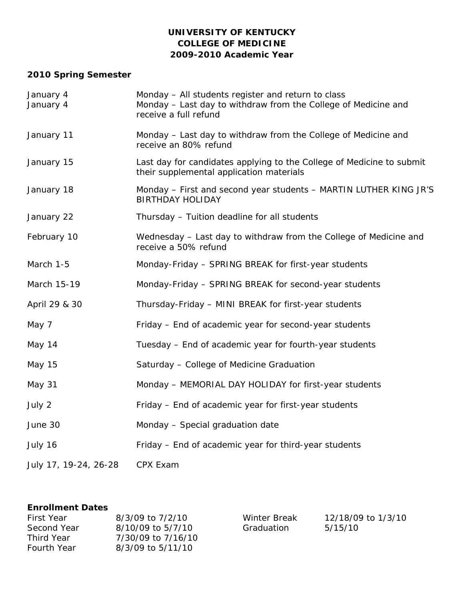### **UNIVERSITY OF KENTUCKY COLLEGE OF MEDICINE 2009-2010 Academic Year**

# **2010 Spring Semester**

| January 4<br>January 4 | Monday - All students register and return to class<br>Monday - Last day to withdraw from the College of Medicine and<br>receive a full refund |  |
|------------------------|-----------------------------------------------------------------------------------------------------------------------------------------------|--|
| January 11             | Monday - Last day to withdraw from the College of Medicine and<br>receive an 80% refund                                                       |  |
| January 15             | Last day for candidates applying to the College of Medicine to submit<br>their supplemental application materials                             |  |
| January 18             | Monday – First and second year students – MARTIN LUTHER KING JR'S<br><b>BIRTHDAY HOLIDAY</b>                                                  |  |
| January 22             | Thursday - Tuition deadline for all students                                                                                                  |  |
| February 10            | Wednesday - Last day to withdraw from the College of Medicine and<br>receive a 50% refund                                                     |  |
| March 1-5              | Monday-Friday - SPRING BREAK for first-year students                                                                                          |  |
| March 15-19            | Monday-Friday - SPRING BREAK for second-year students                                                                                         |  |
| April 29 & 30          | Thursday-Friday - MINI BREAK for first-year students                                                                                          |  |
| May 7                  | Friday – End of academic year for second-year students                                                                                        |  |
| May 14                 | Tuesday - End of academic year for fourth-year students                                                                                       |  |
| May 15                 | Saturday - College of Medicine Graduation                                                                                                     |  |
| May 31                 | Monday - MEMORIAL DAY HOLIDAY for first-year students                                                                                         |  |
| July 2                 | Friday - End of academic year for first-year students                                                                                         |  |
| June 30                | Monday - Special graduation date                                                                                                              |  |
| July 16                | Friday - End of academic year for third-year students                                                                                         |  |
| July 17, 19-24, 26-28  | CPX Exam                                                                                                                                      |  |

### **Enrollment Dates**

| <b>First Year</b>  | 8/3/09 to 7/2/10   |
|--------------------|--------------------|
| Second Year        | 8/10/09 to 5/7/10  |
| Third Year         | 7/30/09 to 7/16/10 |
| <b>Fourth Year</b> | 8/3/09 to 5/11/10  |

Winter Break Graduation

12/18/09 to 1/3/10 5/15/10